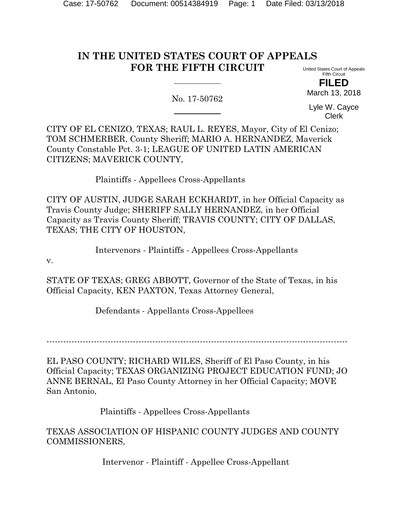# **IN THE UNITED STATES COURT OF APPEALS FOR THE FIFTH CIRCUIT**

United States Court of Appeals Fifth Circuit **FILED**

No. 17-50762

Lyle W. Cayce Clerk

March 13, 2018

CITY OF EL CENIZO, TEXAS; RAUL L. REYES, Mayor, City of El Cenizo; TOM SCHMERBER, County Sheriff; MARIO A. HERNANDEZ, Maverick County Constable Pct. 3-1; LEAGUE OF UNITED LATIN AMERICAN CITIZENS; MAVERICK COUNTY,

Plaintiffs - Appellees Cross-Appellants

CITY OF AUSTIN, JUDGE SARAH ECKHARDT, in her Official Capacity as Travis County Judge; SHERIFF SALLY HERNANDEZ, in her Official Capacity as Travis County Sheriff; TRAVIS COUNTY; CITY OF DALLAS, TEXAS; THE CITY OF HOUSTON,

Intervenors - Plaintiffs - Appellees Cross-Appellants

v.

STATE OF TEXAS; GREG ABBOTT, Governor of the State of Texas, in his Official Capacity, KEN PAXTON, Texas Attorney General,

Defendants - Appellants Cross-Appellees

------------------------------------------------------------------------------------------------------------

EL PASO COUNTY; RICHARD WILES, Sheriff of El Paso County, in his Official Capacity; TEXAS ORGANIZING PROJECT EDUCATION FUND; JO ANNE BERNAL, El Paso County Attorney in her Official Capacity; MOVE San Antonio,

Plaintiffs - Appellees Cross-Appellants

TEXAS ASSOCIATION OF HISPANIC COUNTY JUDGES AND COUNTY COMMISSIONERS,

Intervenor - Plaintiff - Appellee Cross-Appellant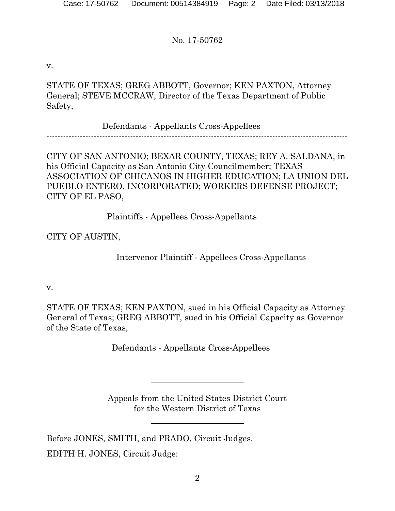v.

STATE OF TEXAS; GREG ABBOTT, Governor; KEN PAXTON, Attorney General; STEVE MCCRAW, Director of the Texas Department of Public Safety,

Defendants - Appellants Cross-Appellees

------------------------------------------------------------------------------------------------------------

CITY OF SAN ANTONIO; BEXAR COUNTY, TEXAS; REY A. SALDANA, in his Official Capacity as San Antonio City Councilmember; TEXAS ASSOCIATION OF CHICANOS IN HIGHER EDUCATION; LA UNION DEL PUEBLO ENTERO, INCORPORATED; WORKERS DEFENSE PROJECT; CITY OF EL PASO,

Plaintiffs - Appellees Cross-Appellants

CITY OF AUSTIN,

Intervenor Plaintiff - Appellees Cross-Appellants

v.

STATE OF TEXAS; KEN PAXTON, sued in his Official Capacity as Attorney General of Texas; GREG ABBOTT, sued in his Official Capacity as Governor of the State of Texas,

Defendants - Appellants Cross-Appellees

Appeals from the United States District Court for the Western District of Texas

Before JONES, SMITH, and PRADO, Circuit Judges. EDITH H. JONES, Circuit Judge: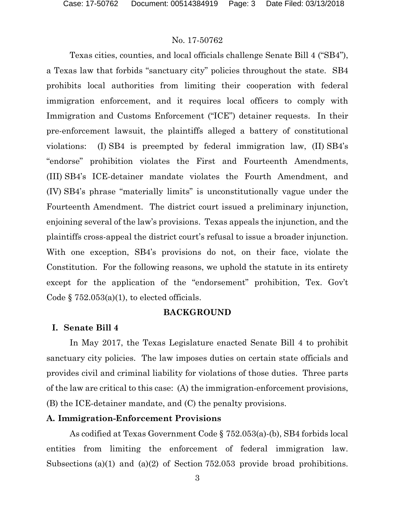Texas cities, counties, and local officials challenge Senate Bill 4 ("SB4"), a Texas law that forbids "sanctuary city" policies throughout the state. SB4 prohibits local authorities from limiting their cooperation with federal immigration enforcement, and it requires local officers to comply with Immigration and Customs Enforcement ("ICE") detainer requests. In their pre-enforcement lawsuit, the plaintiffs alleged a battery of constitutional violations: (I) SB4 is preempted by federal immigration law, (II) SB4's "endorse" prohibition violates the First and Fourteenth Amendments, (III) SB4's ICE-detainer mandate violates the Fourth Amendment, and (IV) SB4's phrase "materially limits" is unconstitutionally vague under the Fourteenth Amendment. The district court issued a preliminary injunction, enjoining several of the law's provisions. Texas appeals the injunction, and the plaintiffs cross-appeal the district court's refusal to issue a broader injunction. With one exception, SB4's provisions do not, on their face, violate the Constitution. For the following reasons, we uphold the statute in its entirety except for the application of the "endorsement" prohibition, Tex. Gov't Code  $\S 752.053(a)(1)$ , to elected officials.

### **BACKGROUND**

## **I. Senate Bill 4**

In May 2017, the Texas Legislature enacted Senate Bill 4 to prohibit sanctuary city policies. The law imposes duties on certain state officials and provides civil and criminal liability for violations of those duties. Three parts of the law are critical to this case: (A) the immigration-enforcement provisions, (B) the ICE-detainer mandate, and (C) the penalty provisions.

## **A. Immigration-Enforcement Provisions**

As codified at Texas Government Code § 752.053(a)-(b), SB4 forbids local entities from limiting the enforcement of federal immigration law. Subsections (a)(1) and (a)(2) of Section 752.053 provide broad prohibitions.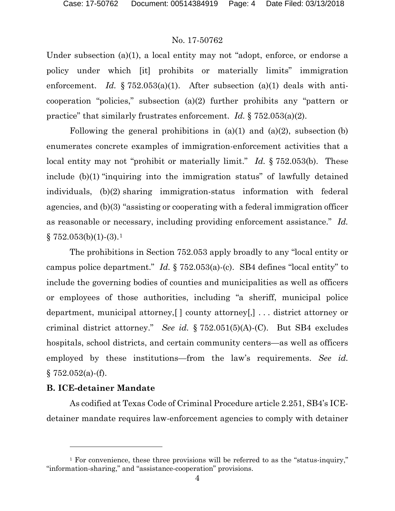Under subsection (a)(1), a local entity may not "adopt, enforce, or endorse a policy under which [it] prohibits or materially limits" immigration enforcement. *Id.* § 752.053(a)(1). After subsection (a)(1) deals with anticooperation "policies," subsection (a)(2) further prohibits any "pattern or practice" that similarly frustrates enforcement. *Id.* § 752.053(a)(2).

Following the general prohibitions in  $(a)(1)$  and  $(a)(2)$ , subsection  $(b)$ enumerates concrete examples of immigration-enforcement activities that a local entity may not "prohibit or materially limit." *Id.* § 752.053(b). These include (b)(1) "inquiring into the immigration status" of lawfully detained individuals, (b)(2) sharing immigration-status information with federal agencies, and (b)(3) "assisting or cooperating with a federal immigration officer as reasonable or necessary, including providing enforcement assistance." *Id.*  $\S$  752.053(b)([1](#page-3-0))-(3).<sup>1</sup>

The prohibitions in Section 752.053 apply broadly to any "local entity or campus police department." *Id.* § 752.053(a)-(c). SB4 defines "local entity" to include the governing bodies of counties and municipalities as well as officers or employees of those authorities, including "a sheriff, municipal police department, municipal attorney,[ ] county attorney[,] . . . district attorney or criminal district attorney." *See id.* § 752.051(5)(A)-(C). But SB4 excludes hospitals, school districts, and certain community centers—as well as officers employed by these institutions—from the law's requirements. *See id.*  $§ 752.052(a)$ -(f).

## **B. ICE-detainer Mandate**

l

As codified at Texas Code of Criminal Procedure article 2.251, SB4's ICEdetainer mandate requires law-enforcement agencies to comply with detainer

<span id="page-3-0"></span><sup>&</sup>lt;sup>1</sup> For convenience, these three provisions will be referred to as the "status-inquiry," "information-sharing," and "assistance-cooperation" provisions.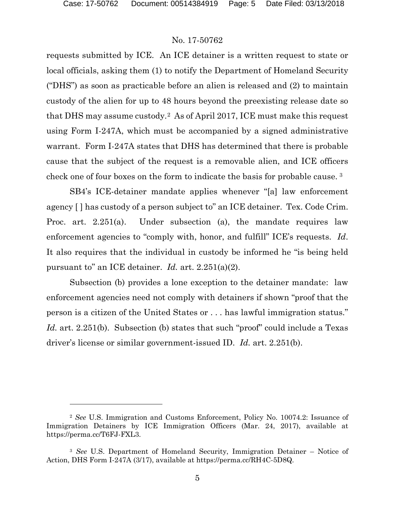### No. 17-50762

requests submitted by ICE. An ICE detainer is a written request to state or local officials, asking them (1) to notify the Department of Homeland Security ("DHS") as soon as practicable before an alien is released and (2) to maintain custody of the alien for up to 48 hours beyond the preexisting release date so that DHS may assume custody.[2](#page-4-0) As of April 2017, ICE must make this request using Form I-247A, which must be accompanied by a signed administrative warrant. Form I-247A states that DHS has determined that there is probable cause that the subject of the request is a removable alien, and ICE officers check one of four boxes on the form to indicate the basis for probable cause. [3](#page-4-1)

SB4's ICE-detainer mandate applies whenever "[a] law enforcement agency [ ] has custody of a person subject to" an ICE detainer. Tex. Code Crim. Proc. art. 2.251(a). Under subsection (a), the mandate requires law enforcement agencies to "comply with, honor, and fulfill" ICE's requests. *Id*. It also requires that the individual in custody be informed he "is being held pursuant to" an ICE detainer. *Id.* art. 2.251(a)(2).

Subsection (b) provides a lone exception to the detainer mandate: law enforcement agencies need not comply with detainers if shown "proof that the person is a citizen of the United States or . . . has lawful immigration status." *Id.* art. 2.251(b). Subsection (b) states that such "proof" could include a Texas driver's license or similar government-issued ID. *Id.* art. 2.251(b).

<span id="page-4-0"></span><sup>2</sup> *See* U.S. Immigration and Customs Enforcement, Policy No. 10074.2: Issuance of Immigration Detainers by ICE Immigration Officers (Mar. 24, 2017), available at https://perma.cc/T6FJ-FXL3.

<span id="page-4-1"></span><sup>3</sup> *See* U.S. Department of Homeland Security, Immigration Detainer – Notice of Action, DHS Form I-247A (3/17), available at https://perma.cc/RH4C-5D8Q.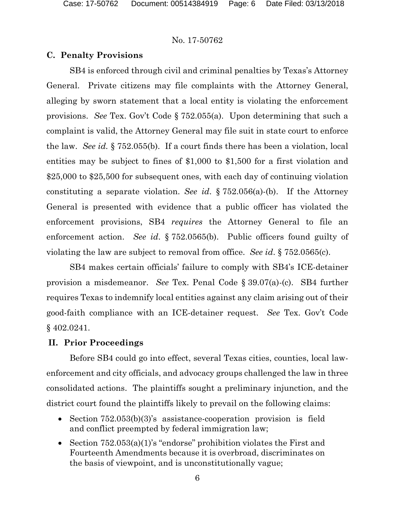## **C. Penalty Provisions**

SB4 is enforced through civil and criminal penalties by Texas's Attorney General. Private citizens may file complaints with the Attorney General, alleging by sworn statement that a local entity is violating the enforcement provisions. *See* Tex. Gov't Code § 752.055(a). Upon determining that such a complaint is valid, the Attorney General may file suit in state court to enforce the law. *See id.* § 752.055(b). If a court finds there has been a violation, local entities may be subject to fines of \$1,000 to \$1,500 for a first violation and \$25,000 to \$25,500 for subsequent ones, with each day of continuing violation constituting a separate violation. *See id*. § 752.056(a)-(b). If the Attorney General is presented with evidence that a public officer has violated the enforcement provisions, SB4 *requires* the Attorney General to file an enforcement action. *See id*. § 752.0565(b). Public officers found guilty of violating the law are subject to removal from office. *See id*. § 752.0565(c).

SB4 makes certain officials' failure to comply with SB4's ICE-detainer provision a misdemeanor. *See* Tex. Penal Code § 39.07(a)-(c). SB4 further requires Texas to indemnify local entities against any claim arising out of their good-faith compliance with an ICE-detainer request. *See* Tex. Gov't Code § 402.0241.

#### **II. Prior Proceedings**

Before SB4 could go into effect, several Texas cities, counties, local lawenforcement and city officials, and advocacy groups challenged the law in three consolidated actions. The plaintiffs sought a preliminary injunction, and the district court found the plaintiffs likely to prevail on the following claims:

- Section  $752.053(b)(3)$ 's assistance-cooperation provision is field and conflict preempted by federal immigration law;
- Section 752.053(a)(1)'s "endorse" prohibition violates the First and Fourteenth Amendments because it is overbroad, discriminates on the basis of viewpoint, and is unconstitutionally vague;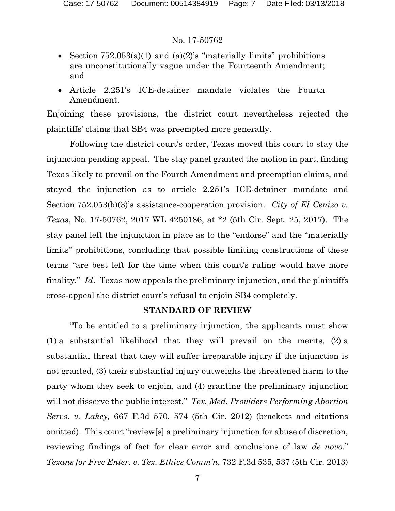- Section  $752.053(a)(1)$  and  $(a)(2)$ 's "materially limits" prohibitions are unconstitutionally vague under the Fourteenth Amendment; and
- Article 2.251's ICE-detainer mandate violates the Fourth Amendment.

Enjoining these provisions, the district court nevertheless rejected the plaintiffs' claims that SB4 was preempted more generally.

Following the district court's order, Texas moved this court to stay the injunction pending appeal. The stay panel granted the motion in part, finding Texas likely to prevail on the Fourth Amendment and preemption claims, and stayed the injunction as to article 2.251's ICE-detainer mandate and Section 752.053(b)(3)'s assistance-cooperation provision. *City of El Cenizo v. Texas*, No. 17-50762, 2017 WL 4250186, at \*2 (5th Cir. Sept. 25, 2017). The stay panel left the injunction in place as to the "endorse" and the "materially limits" prohibitions, concluding that possible limiting constructions of these terms "are best left for the time when this court's ruling would have more finality." *Id*. Texas now appeals the preliminary injunction, and the plaintiffs cross-appeal the district court's refusal to enjoin SB4 completely.

# **STANDARD OF REVIEW**

"To be entitled to a preliminary injunction, the applicants must show (1) a substantial likelihood that they will prevail on the merits, (2) a substantial threat that they will suffer irreparable injury if the injunction is not granted, (3) their substantial injury outweighs the threatened harm to the party whom they seek to enjoin, and (4) granting the preliminary injunction will not disserve the public interest." *Tex. Med. Providers Performing Abortion Servs. v. Lakey,* 667 F.3d 570, 574 (5th Cir. 2012) (brackets and citations omitted). This court "review[s] a preliminary injunction for abuse of discretion, reviewing findings of fact for clear error and conclusions of law *de novo*." *Texans for Free Enter. v. Tex. Ethics Comm'n*, 732 F.3d 535, 537 (5th Cir. 2013)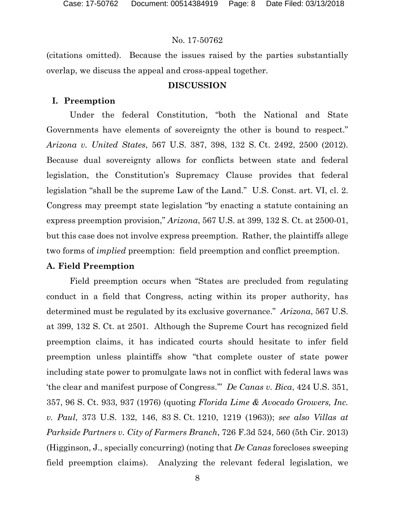(citations omitted). Because the issues raised by the parties substantially overlap, we discuss the appeal and cross-appeal together.

## **DISCUSSION**

#### **I. Preemption**

Under the federal Constitution, "both the National and State Governments have elements of sovereignty the other is bound to respect." *Arizona v. United States*, 567 U.S. 387, 398, 132 S. Ct. 2492, 2500 (2012). Because dual sovereignty allows for conflicts between state and federal legislation, the Constitution's Supremacy Clause provides that federal legislation "shall be the supreme Law of the Land." U.S. Const. art. VI, cl. 2. Congress may preempt state legislation "by enacting a statute containing an express preemption provision," *Arizona*, 567 U.S. at 399, 132 S. Ct. at 2500-01, but this case does not involve express preemption. Rather, the plaintiffs allege two forms of *implied* preemption: field preemption and conflict preemption.

#### **A. Field Preemption**

Field preemption occurs when "States are precluded from regulating conduct in a field that Congress, acting within its proper authority, has determined must be regulated by its exclusive governance." *Arizona*, 567 U.S. at 399, 132 S. Ct. at 2501. Although the Supreme Court has recognized field preemption claims, it has indicated courts should hesitate to infer field preemption unless plaintiffs show "that complete ouster of state power including state power to promulgate laws not in conflict with federal laws was 'the clear and manifest purpose of Congress.'" *De Canas v. Bica*, 424 U.S. 351, 357, 96 S. Ct. 933, 937 (1976) (quoting *Florida Lime & Avocado Growers, Inc. v. Paul*, 373 U.S. 132, 146, 83 S. Ct. 1210, 1219 (1963)); *see also Villas at Parkside Partners v. City of Farmers Branch*, 726 F.3d 524, 560 (5th Cir. 2013) (Higginson, J., specially concurring) (noting that *De Canas* forecloses sweeping field preemption claims). Analyzing the relevant federal legislation, we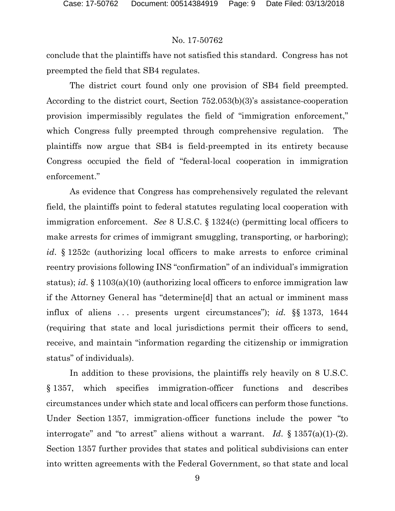conclude that the plaintiffs have not satisfied this standard. Congress has not preempted the field that SB4 regulates.

The district court found only one provision of SB4 field preempted. According to the district court, Section 752.053(b)(3)'s assistance-cooperation provision impermissibly regulates the field of "immigration enforcement," which Congress fully preempted through comprehensive regulation. The plaintiffs now argue that SB4 is field-preempted in its entirety because Congress occupied the field of "federal-local cooperation in immigration enforcement."

As evidence that Congress has comprehensively regulated the relevant field, the plaintiffs point to federal statutes regulating local cooperation with immigration enforcement. *See* 8 U.S.C. § 1324(c) (permitting local officers to make arrests for crimes of immigrant smuggling, transporting, or harboring); *id*. § 1252c (authorizing local officers to make arrests to enforce criminal reentry provisions following INS "confirmation" of an individual's immigration status); *id*. § 1103(a)(10) (authorizing local officers to enforce immigration law if the Attorney General has "determine[d] that an actual or imminent mass influx of aliens . . . presents urgent circumstances"); *id.* §§ 1373, 1644 (requiring that state and local jurisdictions permit their officers to send, receive, and maintain "information regarding the citizenship or immigration status" of individuals).

In addition to these provisions, the plaintiffs rely heavily on 8 U.S.C. § 1357, which specifies immigration-officer functions and describes circumstances under which state and local officers can perform those functions. Under Section 1357, immigration-officer functions include the power "to interrogate" and "to arrest" aliens without a warrant. *Id*. § 1357(a)(1)-(2). Section 1357 further provides that states and political subdivisions can enter into written agreements with the Federal Government, so that state and local

9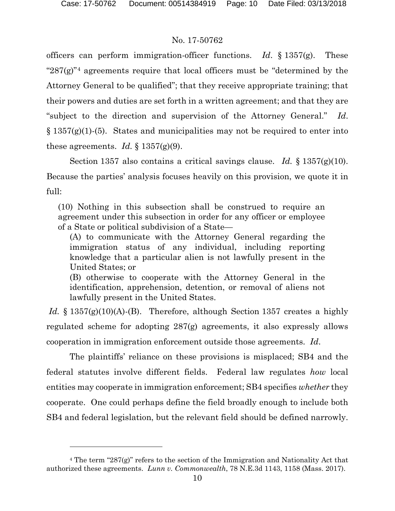l

## No. 17-50762

officers can perform immigration-officer functions. *Id*. § 1357(g). These " $287(g)$ "<sup>[4](#page-9-0)</sup> agreements require that local officers must be "determined by the Attorney General to be qualified"; that they receive appropriate training; that their powers and duties are set forth in a written agreement; and that they are "subject to the direction and supervision of the Attorney General." *Id*.  $\S 1357(g)(1)$ -(5). States and municipalities may not be required to enter into these agreements. *Id.*  $\S 1357(g)(9)$ .

Section 1357 also contains a critical savings clause. *Id.* § 1357(g)(10). Because the parties' analysis focuses heavily on this provision, we quote it in full:

(10) Nothing in this subsection shall be construed to require an agreement under this subsection in order for any officer or employee of a State or political subdivision of a State—

(A) to communicate with the Attorney General regarding the immigration status of any individual, including reporting knowledge that a particular alien is not lawfully present in the United States; or

(B) otherwise to cooperate with the Attorney General in the identification, apprehension, detention, or removal of aliens not lawfully present in the United States.

*Id.* § 1357(g)(10)(A)-(B). Therefore, although Section 1357 creates a highly regulated scheme for adopting 287(g) agreements, it also expressly allows cooperation in immigration enforcement outside those agreements. *Id*.

The plaintiffs' reliance on these provisions is misplaced; SB4 and the federal statutes involve different fields. Federal law regulates *how* local entities may cooperate in immigration enforcement; SB4 specifies *whether* they cooperate. One could perhaps define the field broadly enough to include both SB4 and federal legislation, but the relevant field should be defined narrowly.

<span id="page-9-0"></span><sup>&</sup>lt;sup>4</sup> The term "287(g)" refers to the section of the Immigration and Nationality Act that authorized these agreements. *Lunn v. Commonwealth*, 78 N.E.3d 1143, 1158 (Mass. 2017).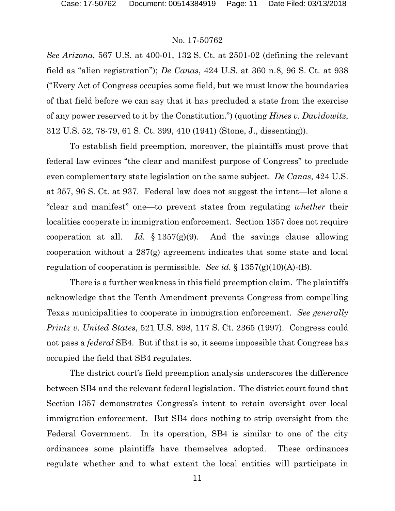*See Arizona*, 567 U.S. at 400-01, 132 S. Ct. at 2501-02 (defining the relevant field as "alien registration"); *De Canas*, 424 U.S. at 360 n.8, 96 S. Ct. at 938 ("Every Act of Congress occupies some field, but we must know the boundaries of that field before we can say that it has precluded a state from the exercise of any power reserved to it by the Constitution.") (quoting *Hines v. Davidowitz*, 312 U.S. 52, 78-79, 61 S. Ct. 399, 410 (1941) (Stone, J., dissenting)).

To establish field preemption, moreover, the plaintiffs must prove that federal law evinces "the clear and manifest purpose of Congress" to preclude even complementary state legislation on the same subject. *De Canas*, 424 U.S. at 357, 96 S. Ct. at 937. Federal law does not suggest the intent—let alone a "clear and manifest" one—to prevent states from regulating *whether* their localities cooperate in immigration enforcement. Section 1357 does not require cooperation at all. *Id.* § 1357(g)(9). And the savings clause allowing cooperation without a 287(g) agreement indicates that some state and local regulation of cooperation is permissible. *See id.* § 1357(g)(10)(A)-(B).

There is a further weakness in this field preemption claim. The plaintiffs acknowledge that the Tenth Amendment prevents Congress from compelling Texas municipalities to cooperate in immigration enforcement. *See generally Printz v. United States*, 521 U.S. 898, 117 S. Ct. 2365 (1997). Congress could not pass a *federal* SB4. But if that is so, it seems impossible that Congress has occupied the field that SB4 regulates.

The district court's field preemption analysis underscores the difference between SB4 and the relevant federal legislation. The district court found that Section 1357 demonstrates Congress's intent to retain oversight over local immigration enforcement. But SB4 does nothing to strip oversight from the Federal Government. In its operation, SB4 is similar to one of the city ordinances some plaintiffs have themselves adopted. These ordinances regulate whether and to what extent the local entities will participate in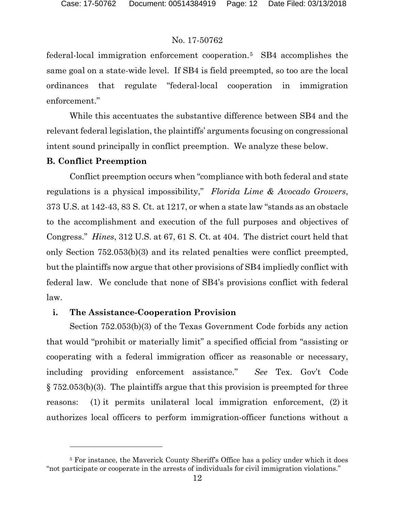federal-local immigration enforcement cooperation.[5](#page-11-0) SB4 accomplishes the same goal on a state-wide level. If SB4 is field preempted, so too are the local ordinances that regulate "federal-local cooperation in immigration enforcement."

While this accentuates the substantive difference between SB4 and the relevant federal legislation, the plaintiffs' arguments focusing on congressional intent sound principally in conflict preemption. We analyze these below.

# **B. Conflict Preemption**

l

Conflict preemption occurs when "compliance with both federal and state regulations is a physical impossibility," *Florida Lime & Avocado Growers*, 373 U.S. at 142-43, 83 S. Ct. at 1217, or when a state law "stands as an obstacle to the accomplishment and execution of the full purposes and objectives of Congress." *Hines*, 312 U.S. at 67, 61 S. Ct. at 404. The district court held that only Section 752.053(b)(3) and its related penalties were conflict preempted, but the plaintiffs now argue that other provisions of SB4 impliedly conflict with federal law. We conclude that none of SB4's provisions conflict with federal law.

# **i. The Assistance-Cooperation Provision**

Section 752.053(b)(3) of the Texas Government Code forbids any action that would "prohibit or materially limit" a specified official from "assisting or cooperating with a federal immigration officer as reasonable or necessary, including providing enforcement assistance." *See* Tex. Gov't Code § 752.053(b)(3). The plaintiffs argue that this provision is preempted for three reasons: (1) it permits unilateral local immigration enforcement, (2) it authorizes local officers to perform immigration-officer functions without a

<span id="page-11-0"></span><sup>&</sup>lt;sup>5</sup> For instance, the Maverick County Sheriff's Office has a policy under which it does "not participate or cooperate in the arrests of individuals for civil immigration violations."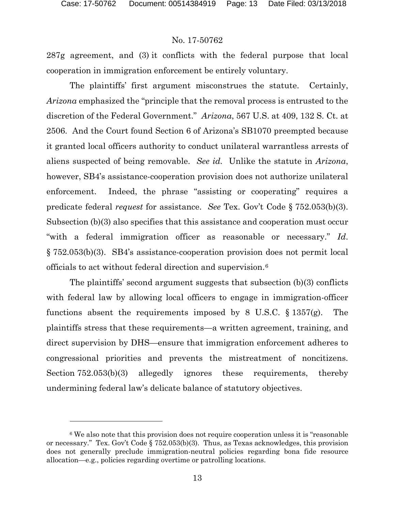l

#### No. 17-50762

287g agreement, and (3) it conflicts with the federal purpose that local cooperation in immigration enforcement be entirely voluntary.

The plaintiffs' first argument misconstrues the statute. Certainly, *Arizona* emphasized the "principle that the removal process is entrusted to the discretion of the Federal Government." *Arizona*, 567 U.S. at 409, 132 S. Ct. at 2506. And the Court found Section 6 of Arizona's SB1070 preempted because it granted local officers authority to conduct unilateral warrantless arrests of aliens suspected of being removable. *See id.* Unlike the statute in *Arizona*, however, SB4's assistance-cooperation provision does not authorize unilateral enforcement. Indeed, the phrase "assisting or cooperating" requires a predicate federal *request* for assistance. *See* Tex. Gov't Code § 752.053(b)(3). Subsection (b)(3) also specifies that this assistance and cooperation must occur "with a federal immigration officer as reasonable or necessary." *Id*. § 752.053(b)(3). SB4's assistance-cooperation provision does not permit local officials to act without federal direction and supervision.[6](#page-12-0)

The plaintiffs' second argument suggests that subsection (b)(3) conflicts with federal law by allowing local officers to engage in immigration-officer functions absent the requirements imposed by 8 U.S.C.  $\S 1357(g)$ . The plaintiffs stress that these requirements—a written agreement, training, and direct supervision by DHS—ensure that immigration enforcement adheres to congressional priorities and prevents the mistreatment of noncitizens. Section 752.053(b)(3) allegedly ignores these requirements, thereby undermining federal law's delicate balance of statutory objectives.

<span id="page-12-0"></span><sup>&</sup>lt;sup>6</sup> We also note that this provision does not require cooperation unless it is "reasonable" or necessary." Tex. Gov't Code § 752.053(b)(3). Thus, as Texas acknowledges, this provision does not generally preclude immigration-neutral policies regarding bona fide resource allocation—e.g., policies regarding overtime or patrolling locations.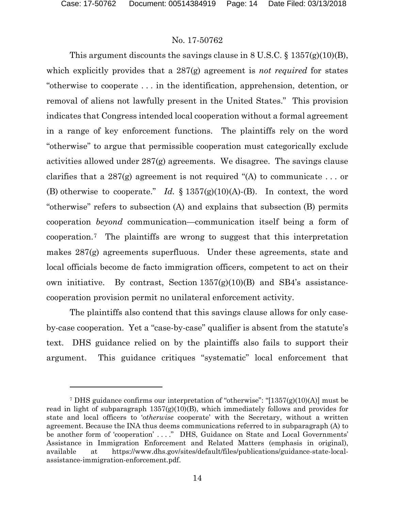l

# No. 17-50762

This argument discounts the savings clause in 8 U.S.C. § 1357(g)(10)(B), which explicitly provides that a 287(g) agreement is *not required* for states "otherwise to cooperate . . . in the identification, apprehension, detention, or removal of aliens not lawfully present in the United States." This provision indicates that Congress intended local cooperation without a formal agreement in a range of key enforcement functions. The plaintiffs rely on the word "otherwise" to argue that permissible cooperation must categorically exclude activities allowed under 287(g) agreements. We disagree. The savings clause clarifies that a 287(g) agreement is not required "(A) to communicate ... or (B) otherwise to cooperate." *Id.* § 1357(g)(10)(A)-(B). In context, the word "otherwise" refers to subsection (A) and explains that subsection (B) permits cooperation *beyond* communication—communication itself being a form of cooperation.[7](#page-13-0) The plaintiffs are wrong to suggest that this interpretation makes 287(g) agreements superfluous. Under these agreements, state and local officials become de facto immigration officers, competent to act on their own initiative. By contrast, Section  $1357(g)(10)(B)$  and SB4's assistancecooperation provision permit no unilateral enforcement activity.

The plaintiffs also contend that this savings clause allows for only caseby-case cooperation. Yet a "case-by-case" qualifier is absent from the statute's text. DHS guidance relied on by the plaintiffs also fails to support their argument. This guidance critiques "systematic" local enforcement that

<span id="page-13-0"></span><sup>7</sup> DHS guidance confirms our interpretation of "otherwise": "[1357(g)(10)(A)] must be read in light of subparagraph  $1357(g)(10)(B)$ , which immediately follows and provides for state and local officers to '*otherwise* cooperate' with the Secretary, without a written agreement. Because the INA thus deems communications referred to in subparagraph (A) to be another form of 'cooperation' ...." DHS, Guidance on State and Local Governments' Assistance in Immigration Enforcement and Related Matters (emphasis in original), available at https://www.dhs.gov/sites/default/files/publications/guidance-state-localassistance-immigration-enforcement.pdf.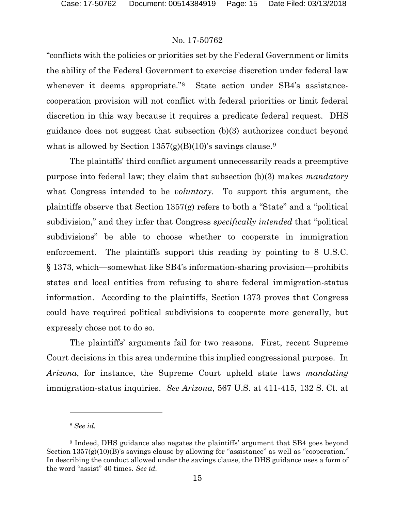"conflicts with the policies or priorities set by the Federal Government or limits the ability of the Federal Government to exercise discretion under federal law whenever it deems appropriate.<sup>"[8](#page-14-0)</sup> State action under SB4's assistancecooperation provision will not conflict with federal priorities or limit federal discretion in this way because it requires a predicate federal request. DHS guidance does not suggest that subsection (b)(3) authorizes conduct beyond what is allowed by Section  $1357(g)(B)(10)$ 's savings clause.<sup>[9](#page-14-1)</sup>

The plaintiffs' third conflict argument unnecessarily reads a preemptive purpose into federal law; they claim that subsection (b)(3) makes *mandatory* what Congress intended to be *voluntary*. To support this argument, the plaintiffs observe that Section 1357(g) refers to both a "State" and a "political subdivision," and they infer that Congress *specifically intended* that "political subdivisions" be able to choose whether to cooperate in immigration enforcement. The plaintiffs support this reading by pointing to 8 U.S.C. § 1373, which—somewhat like SB4's information-sharing provision—prohibits states and local entities from refusing to share federal immigration-status information. According to the plaintiffs, Section 1373 proves that Congress could have required political subdivisions to cooperate more generally, but expressly chose not to do so.

The plaintiffs' arguments fail for two reasons. First, recent Supreme Court decisions in this area undermine this implied congressional purpose. In *Arizona*, for instance, the Supreme Court upheld state laws *mandating* immigration-status inquiries. *See Arizona*, 567 U.S. at 411-415, 132 S. Ct. at

 $\overline{a}$ 

<sup>8</sup> *See id.*

<span id="page-14-1"></span><span id="page-14-0"></span><sup>9</sup> Indeed, DHS guidance also negates the plaintiffs' argument that SB4 goes beyond Section  $1357(g)(10)(B)$ 's savings clause by allowing for "assistance" as well as "cooperation." In describing the conduct allowed under the savings clause, the DHS guidance uses a form of the word "assist" 40 times. *See id.*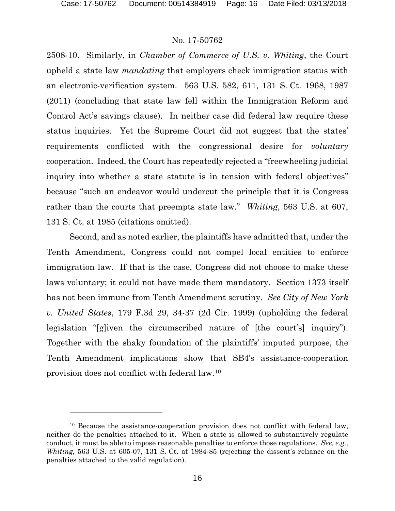#### No. 17-50762

2508-10. Similarly, in *Chamber of Commerce of U.S. v. Whiting*, the Court upheld a state law *mandating* that employers check immigration status with an electronic-verification system. 563 U.S. 582, 611, 131 S. Ct. 1968, 1987 (2011) (concluding that state law fell within the Immigration Reform and Control Act's savings clause). In neither case did federal law require these status inquiries. Yet the Supreme Court did not suggest that the states' requirements conflicted with the congressional desire for *voluntary*  cooperation. Indeed, the Court has repeatedly rejected a "freewheeling judicial inquiry into whether a state statute is in tension with federal objectives" because "such an endeavor would undercut the principle that it is Congress rather than the courts that preempts state law." *Whiting*, 563 U.S. at 607, 131 S. Ct. at 1985 (citations omitted).

Second, and as noted earlier, the plaintiffs have admitted that, under the Tenth Amendment, Congress could not compel local entities to enforce immigration law. If that is the case, Congress did not choose to make these laws voluntary; it could not have made them mandatory. Section 1373 itself has not been immune from Tenth Amendment scrutiny. *See City of New York v. United States*, 179 F.3d 29, 34-37 (2d Cir. 1999) (upholding the federal legislation "[g]iven the circumscribed nature of [the court's] inquiry"). Together with the shaky foundation of the plaintiffs' imputed purpose, the Tenth Amendment implications show that SB4's assistance-cooperation provision does not conflict with federal law.[10](#page-15-0)

<span id="page-15-0"></span><sup>&</sup>lt;sup>10</sup> Because the assistance-cooperation provision does not conflict with federal law, neither do the penalties attached to it. When a state is allowed to substantively regulate conduct, it must be able to impose reasonable penalties to enforce those regulations. *See, e.g., Whiting*, 563 U.S. at 605-07, 131 S. Ct. at 1984-85 (rejecting the dissent's reliance on the penalties attached to the valid regulation).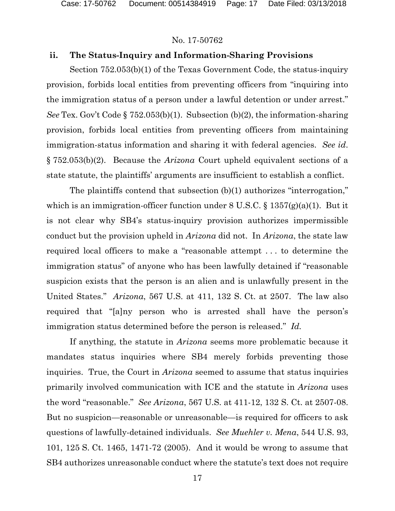# **ii. The Status-Inquiry and Information-Sharing Provisions**

Section 752.053(b)(1) of the Texas Government Code, the status-inquiry provision, forbids local entities from preventing officers from "inquiring into the immigration status of a person under a lawful detention or under arrest." *See* Tex. Gov't Code § 752.053(b)(1). Subsection (b)(2), the information-sharing provision, forbids local entities from preventing officers from maintaining immigration-status information and sharing it with federal agencies. *See id*. § 752.053(b)(2). Because the *Arizona* Court upheld equivalent sections of a state statute, the plaintiffs' arguments are insufficient to establish a conflict.

The plaintiffs contend that subsection (b)(1) authorizes "interrogation," which is an immigration-officer function under  $8 \text{ U.S.C.} \$ §  $1357(g)(a)(1)$ . But it is not clear why SB4's status-inquiry provision authorizes impermissible conduct but the provision upheld in *Arizona* did not. In *Arizona*, the state law required local officers to make a "reasonable attempt . . . to determine the immigration status" of anyone who has been lawfully detained if "reasonable suspicion exists that the person is an alien and is unlawfully present in the United States." *Arizona*, 567 U.S. at 411, 132 S. Ct. at 2507. The law also required that "[a]ny person who is arrested shall have the person's immigration status determined before the person is released." *Id.*

If anything, the statute in *Arizona* seems more problematic because it mandates status inquiries where SB4 merely forbids preventing those inquiries. True, the Court in *Arizona* seemed to assume that status inquiries primarily involved communication with ICE and the statute in *Arizona* uses the word "reasonable." *See Arizona*, 567 U.S. at 411-12, 132 S. Ct. at 2507-08. But no suspicion—reasonable or unreasonable—is required for officers to ask questions of lawfully-detained individuals. *See Muehler v. Mena*, 544 U.S. 93, 101, 125 S. Ct. 1465, 1471-72 (2005). And it would be wrong to assume that SB4 authorizes unreasonable conduct where the statute's text does not require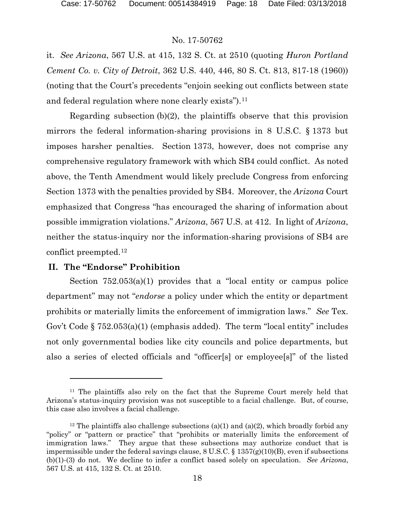it. *See Arizona*, 567 U.S. at 415, 132 S. Ct. at 2510 (quoting *Huron Portland Cement Co. v. City of Detroit*, 362 U.S. 440, 446, 80 S. Ct. 813, 817-18 (1960)) (noting that the Court's precedents "enjoin seeking out conflicts between state and federal regulation where none clearly exists").[11](#page-17-0)

Regarding subsection (b)(2), the plaintiffs observe that this provision mirrors the federal information-sharing provisions in 8 U.S.C. § 1373 but imposes harsher penalties. Section 1373, however, does not comprise any comprehensive regulatory framework with which SB4 could conflict. As noted above, the Tenth Amendment would likely preclude Congress from enforcing Section 1373 with the penalties provided by SB4. Moreover, the *Arizona* Court emphasized that Congress "has encouraged the sharing of information about possible immigration violations." *Arizona*, 567 U.S. at 412. In light of *Arizona*, neither the status-inquiry nor the information-sharing provisions of SB4 are conflict preempted.[12](#page-17-1)

# **II. The "Endorse" Prohibition**

 $\overline{a}$ 

Section 752.053(a)(1) provides that a "local entity or campus police department" may not "*endorse* a policy under which the entity or department prohibits or materially limits the enforcement of immigration laws." *See* Tex. Gov't Code § 752.053(a)(1) (emphasis added). The term "local entity" includes not only governmental bodies like city councils and police departments, but also a series of elected officials and "officer[s] or employee[s]" of the listed

<span id="page-17-0"></span><sup>&</sup>lt;sup>11</sup> The plaintiffs also rely on the fact that the Supreme Court merely held that Arizona's status-inquiry provision was not susceptible to a facial challenge. But, of course, this case also involves a facial challenge.

<span id="page-17-1"></span><sup>&</sup>lt;sup>12</sup> The plaintiffs also challenge subsections (a)(1) and (a)(2), which broadly forbid any "policy" or "pattern or practice" that "prohibits or materially limits the enforcement of immigration laws." They argue that these subsections may authorize conduct that is impermissible under the federal savings clause,  $8 \text{ U.S.C.} \$ § 1357(g)(10)(B), even if subsections (b)(1)-(3) do not. We decline to infer a conflict based solely on speculation. *See Arizona*, 567 U.S. at 415, 132 S. Ct. at 2510.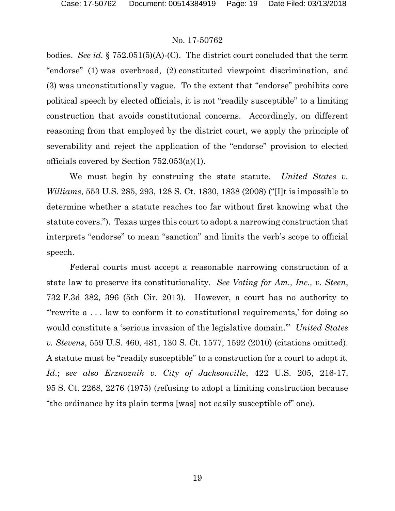bodies. *See id.* § 752.051(5)(A)-(C). The district court concluded that the term "endorse" (1) was overbroad, (2) constituted viewpoint discrimination, and (3) was unconstitutionally vague. To the extent that "endorse" prohibits core political speech by elected officials, it is not "readily susceptible" to a limiting construction that avoids constitutional concerns. Accordingly, on different reasoning from that employed by the district court, we apply the principle of severability and reject the application of the "endorse" provision to elected officials covered by Section 752.053(a)(1).

We must begin by construing the state statute. *United States v. Williams*, 553 U.S. 285, 293, 128 S. Ct. 1830, 1838 (2008) ("[I]t is impossible to determine whether a statute reaches too far without first knowing what the statute covers."). Texas urges this court to adopt a narrowing construction that interprets "endorse" to mean "sanction" and limits the verb's scope to official speech.

Federal courts must accept a reasonable narrowing construction of a state law to preserve its constitutionality. *See Voting for Am., Inc., v. Steen*, 732 F.3d 382, 396 (5th Cir. 2013). However, a court has no authority to "'rewrite a . . . law to conform it to constitutional requirements,' for doing so would constitute a 'serious invasion of the legislative domain.'" *United States v. Stevens*, 559 U.S. 460, 481, 130 S. Ct. 1577, 1592 (2010) (citations omitted). A statute must be "readily susceptible" to a construction for a court to adopt it. *Id*.; *see also Erznoznik v. City of Jacksonville*, 422 U.S. 205, 216-17, 95 S. Ct. 2268, 2276 (1975) (refusing to adopt a limiting construction because "the ordinance by its plain terms [was] not easily susceptible of" one).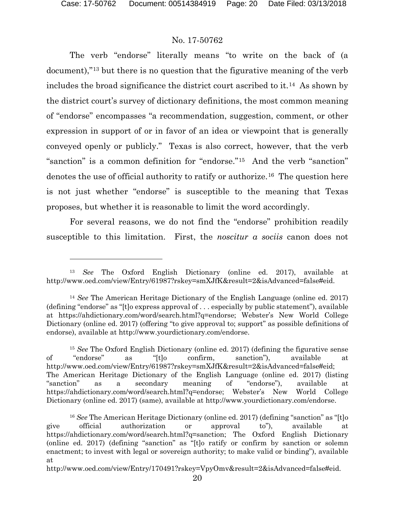l

# No. 17-50762

The verb "endorse" literally means "to write on the back of (a document),"[13](#page-19-0) but there is no question that the figurative meaning of the verb includes the broad significance the district court ascribed to it.[14](#page-19-1) As shown by the district court's survey of dictionary definitions, the most common meaning of "endorse" encompasses "a recommendation, suggestion, comment, or other expression in support of or in favor of an idea or viewpoint that is generally conveyed openly or publicly." Texas is also correct, however, that the verb "sanction" is a common definition for "endorse."[15](#page-19-2) And the verb "sanction" denotes the use of official authority to ratify or authorize.[16](#page-19-3) The question here is not just whether "endorse" is susceptible to the meaning that Texas proposes, but whether it is reasonable to limit the word accordingly.

For several reasons, we do not find the "endorse" prohibition readily susceptible to this limitation. First, the *noscitur a sociis* canon does not

http://www.oed.com/view/Entry/170491?rskey=VpyOmv&result=2&isAdvanced=false#eid.

<span id="page-19-0"></span><sup>13</sup> *See* The Oxford English Dictionary (online ed. 2017), available at http://www.oed.com/view/Entry/61987?rskey=smXJfK&result=2&isAdvanced=false#eid.

<span id="page-19-1"></span><sup>14</sup> *See* The American Heritage Dictionary of the English Language (online ed. 2017) (defining "endorse" as "[t]o express approval of . . . especially by public statement"), available at https://ahdictionary.com/word/search.html?q=endorse; Webster's New World College Dictionary (online ed. 2017) (offering "to give approval to; support" as possible definitions of endorse), available at http://www.yourdictionary.com/endorse.

<span id="page-19-2"></span><sup>15</sup> *See* The Oxford English Dictionary (online ed. 2017) (defining the figurative sense of "endorse" as "[t]o confirm, sanction"), available at http://www.oed.com/view/Entry/61987?rskey=smXJfK&result=2&isAdvanced=false#eid; The American Heritage Dictionary of the English Language (online ed. 2017) (listing "sanction" as a secondary meaning of "endorse"), available at https://ahdictionary.com/word/search.html?q=endorse; Webster's New World College Dictionary (online ed. 2017) (same), available at http://www.yourdictionary.com/endorse.

<span id="page-19-3"></span><sup>&</sup>lt;sup>16</sup> See The American Heritage Dictionary (online ed. 2017) (defining "sanction" as "[t]o give official authorization or approval to"), available at https://ahdictionary.com/word/search.html?q=sanction; The Oxford English Dictionary (online ed. 2017) (defining "sanction" as "[t]o ratify or confirm by sanction or solemn enactment; to invest with legal or sovereign authority; to make valid or binding"), available at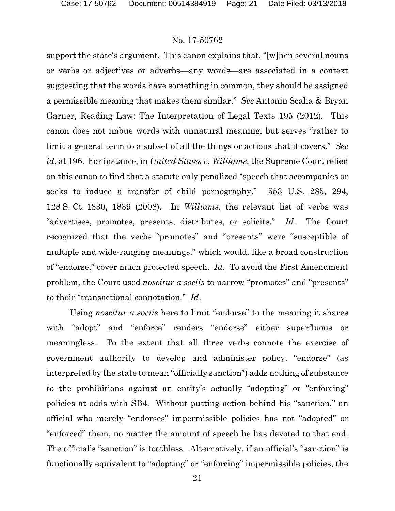support the state's argument. This canon explains that, "[w]hen several nouns or verbs or adjectives or adverbs—any words—are associated in a context suggesting that the words have something in common, they should be assigned a permissible meaning that makes them similar." *See* Antonin Scalia & Bryan Garner, Reading Law: The Interpretation of Legal Texts 195 (2012)*.* This canon does not imbue words with unnatural meaning, but serves "rather to limit a general term to a subset of all the things or actions that it covers." *See id*. at 196. For instance, in *United States v. Williams*, the Supreme Court relied on this canon to find that a statute only penalized "speech that accompanies or seeks to induce a transfer of child pornography." 553 U.S. 285, 294, 128 S. Ct. 1830, 1839 (2008). In *Williams*, the relevant list of verbs was "advertises, promotes, presents, distributes, or solicits." *Id*. The Court recognized that the verbs "promotes" and "presents" were "susceptible of multiple and wide-ranging meanings," which would, like a broad construction of "endorse," cover much protected speech. *Id*. To avoid the First Amendment problem, the Court used *noscitur a sociis* to narrow "promotes" and "presents" to their "transactional connotation." *Id*.

Using *noscitur a sociis* here to limit "endorse" to the meaning it shares with "adopt" and "enforce" renders "endorse" either superfluous or meaningless. To the extent that all three verbs connote the exercise of government authority to develop and administer policy, "endorse" (as interpreted by the state to mean "officially sanction") adds nothing of substance to the prohibitions against an entity's actually "adopting" or "enforcing" policies at odds with SB4. Without putting action behind his "sanction," an official who merely "endorses" impermissible policies has not "adopted" or "enforced" them, no matter the amount of speech he has devoted to that end. The official's "sanction" is toothless. Alternatively, if an official's "sanction" is functionally equivalent to "adopting" or "enforcing" impermissible policies, the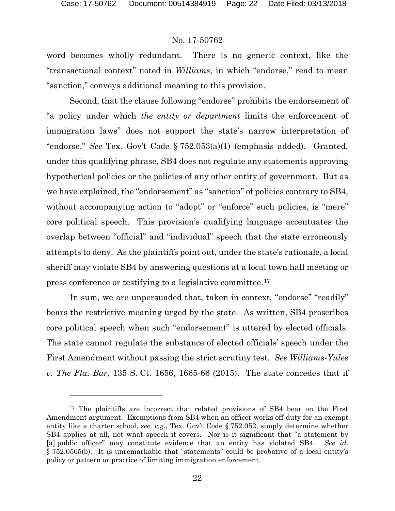#### No. 17-50762

word becomes wholly redundant. There is no generic context, like the "transactional context" noted in *Williams*, in which "endorse," read to mean "sanction," conveys additional meaning to this provision.

Second, that the clause following "endorse" prohibits the endorsement of "a policy under which *the entity or department* limits the enforcement of immigration laws" does not support the state's narrow interpretation of "endorse." *See* Tex. Gov't Code § 752.053(a)(1) (emphasis added). Granted, under this qualifying phrase, SB4 does not regulate any statements approving hypothetical policies or the policies of any other entity of government. But as we have explained, the "endorsement" as "sanction" of policies contrary to SB4, without accompanying action to "adopt" or "enforce" such policies, is "mere" core political speech. This provision's qualifying language accentuates the overlap between "official" and "individual" speech that the state erroneously attempts to deny. As the plaintiffs point out, under the state's rationale, a local sheriff may violate SB4 by answering questions at a local town hall meeting or press conference or testifying to a legislative committee.[17](#page-21-0)

In sum, we are unpersuaded that, taken in context, "endorse" "readily" bears the restrictive meaning urged by the state. As written, SB4 proscribes core political speech when such "endorsement" is uttered by elected officials. The state cannot regulate the substance of elected officials' speech under the First Amendment without passing the strict scrutiny test. *See Williams-Yulee v. The Fla. Bar,* 135 S. Ct. 1656, 1665-66 (2015). The state concedes that if

<span id="page-21-0"></span><sup>&</sup>lt;sup>17</sup> The plaintiffs are incorrect that related provisions of SB4 bear on the First Amendment argument. Exemptions from SB4 when an officer works off-duty for an exempt entity like a charter school, *see, e.g.*, Tex. Gov't Code § 752.052, simply determine whether SB4 applies at all, not what speech it covers. Nor is it significant that "a statement by [a] public officer" may constitute evidence that an entity has violated SB4. *See id*. § 752.0565(b). It is unremarkable that "statements" could be probative of a local entity's policy or pattern or practice of limiting immigration enforcement.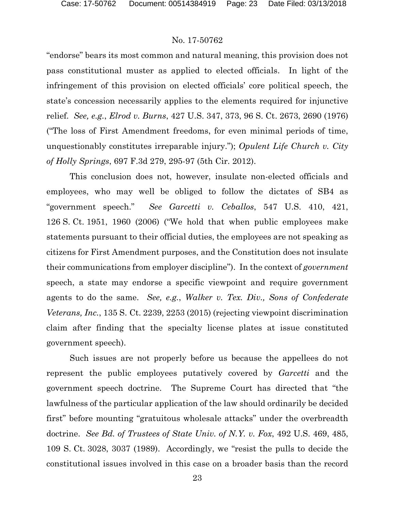"endorse" bears its most common and natural meaning, this provision does not pass constitutional muster as applied to elected officials. In light of the infringement of this provision on elected officials' core political speech, the state's concession necessarily applies to the elements required for injunctive relief. *See, e.g.*, *Elrod v. Burns*, 427 U.S. 347, 373, 96 S. Ct. 2673, 2690 (1976) ("The loss of First Amendment freedoms, for even minimal periods of time, unquestionably constitutes irreparable injury."); *Opulent Life Church v. City of Holly Springs*, 697 F.3d 279, 295-97 (5th Cir. 2012).

This conclusion does not, however, insulate non-elected officials and employees, who may well be obliged to follow the dictates of SB4 as "government speech." *See Garcetti v. Ceballos*, 547 U.S. 410, 421, 126 S. Ct. 1951, 1960 (2006) ("We hold that when public employees make statements pursuant to their official duties, the employees are not speaking as citizens for First Amendment purposes, and the Constitution does not insulate their communications from employer discipline"). In the context of *government* speech, a state may endorse a specific viewpoint and require government agents to do the same. *See, e.g.*, *Walker v. Tex. Div., Sons of Confederate Veterans, Inc.*, 135 S. Ct. 2239, 2253 (2015) (rejecting viewpoint discrimination claim after finding that the specialty license plates at issue constituted government speech).

Such issues are not properly before us because the appellees do not represent the public employees putatively covered by *Garcetti* and the government speech doctrine. The Supreme Court has directed that "the lawfulness of the particular application of the law should ordinarily be decided first" before mounting "gratuitous wholesale attacks" under the overbreadth doctrine. *See Bd. of Trustees of State Univ. of N.Y. v. Fox*, 492 U.S. 469, 485, 109 S. Ct. 3028, 3037 (1989). Accordingly, we "resist the pulls to decide the constitutional issues involved in this case on a broader basis than the record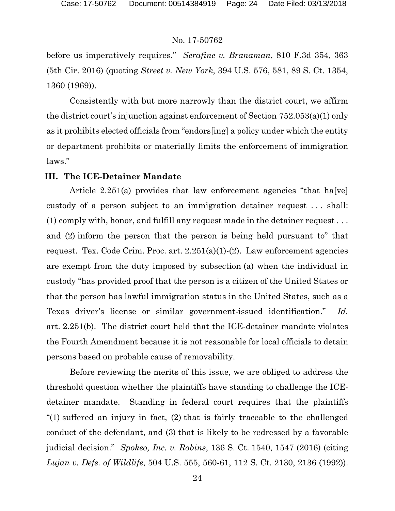before us imperatively requires." *Serafine v. Branaman*, 810 F.3d 354, 363 (5th Cir. 2016) (quoting *Street v. New York*, 394 U.S. 576, 581, 89 S. Ct. 1354, 1360 (1969)).

Consistently with but more narrowly than the district court, we affirm the district court's injunction against enforcement of Section 752.053(a)(1) only as it prohibits elected officials from "endors[ing] a policy under which the entity or department prohibits or materially limits the enforcement of immigration laws."

# **III. The ICE-Detainer Mandate**

Article 2.251(a) provides that law enforcement agencies "that ha[ve] custody of a person subject to an immigration detainer request . . . shall: (1) comply with, honor, and fulfill any request made in the detainer request . . . and (2) inform the person that the person is being held pursuant to" that request. Tex. Code Crim. Proc. art.  $2.251(a)(1)-(2)$ . Law enforcement agencies are exempt from the duty imposed by subsection (a) when the individual in custody "has provided proof that the person is a citizen of the United States or that the person has lawful immigration status in the United States, such as a Texas driver's license or similar government-issued identification." *Id.*  art. 2.251(b). The district court held that the ICE-detainer mandate violates the Fourth Amendment because it is not reasonable for local officials to detain persons based on probable cause of removability.

Before reviewing the merits of this issue, we are obliged to address the threshold question whether the plaintiffs have standing to challenge the ICEdetainer mandate. Standing in federal court requires that the plaintiffs "(1) suffered an injury in fact, (2) that is fairly traceable to the challenged conduct of the defendant, and (3) that is likely to be redressed by a favorable judicial decision." *Spokeo, Inc. v. Robins*, 136 S. Ct. 1540, 1547 (2016) (citing *Lujan v. Defs. of Wildlife*, 504 U.S. 555, 560-61, 112 S. Ct. 2130, 2136 (1992)).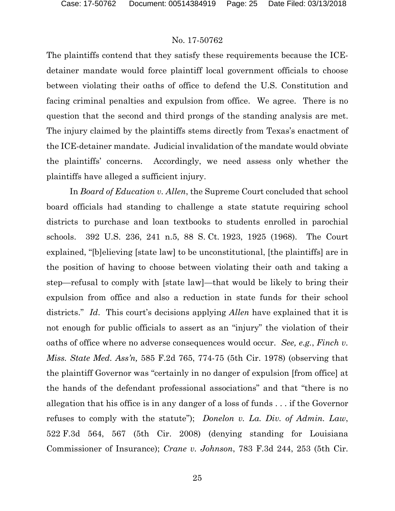The plaintiffs contend that they satisfy these requirements because the ICEdetainer mandate would force plaintiff local government officials to choose between violating their oaths of office to defend the U.S. Constitution and facing criminal penalties and expulsion from office. We agree. There is no question that the second and third prongs of the standing analysis are met. The injury claimed by the plaintiffs stems directly from Texas's enactment of the ICE-detainer mandate. Judicial invalidation of the mandate would obviate the plaintiffs' concerns. Accordingly, we need assess only whether the plaintiffs have alleged a sufficient injury.

In *Board of Education v. Allen*, the Supreme Court concluded that school board officials had standing to challenge a state statute requiring school districts to purchase and loan textbooks to students enrolled in parochial schools. 392 U.S. 236, 241 n.5, 88 S. Ct. 1923, 1925 (1968). The Court explained, "[b]elieving [state law] to be unconstitutional, [the plaintiffs] are in the position of having to choose between violating their oath and taking a step—refusal to comply with [state law]—that would be likely to bring their expulsion from office and also a reduction in state funds for their school districts." *Id*. This court's decisions applying *Allen* have explained that it is not enough for public officials to assert as an "injury" the violation of their oaths of office where no adverse consequences would occur. *See, e.g.*, *Finch v. Miss. State Med. Ass'n,* 585 F.2d 765, 774-75 (5th Cir. 1978) (observing that the plaintiff Governor was "certainly in no danger of expulsion [from office] at the hands of the defendant professional associations" and that "there is no allegation that his office is in any danger of a loss of funds . . . if the Governor refuses to comply with the statute"); *Donelon v. La. Div. of Admin. Law*, 522 F.3d 564, 567 (5th Cir. 2008) (denying standing for Louisiana Commissioner of Insurance); *Crane v. Johnson*, 783 F.3d 244, 253 (5th Cir.

25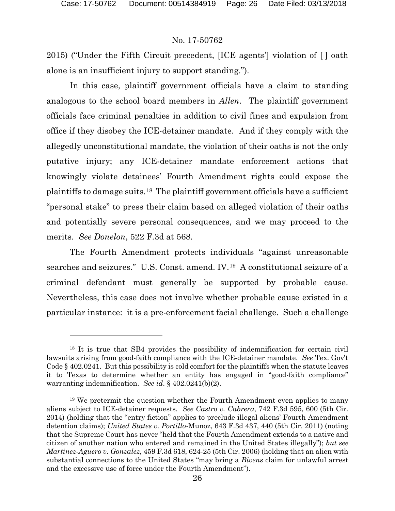# No. 17-50762

2015) ("Under the Fifth Circuit precedent, [ICE agents'] violation of [ ] oath alone is an insufficient injury to support standing.").

In this case, plaintiff government officials have a claim to standing analogous to the school board members in *Allen*. The plaintiff government officials face criminal penalties in addition to civil fines and expulsion from office if they disobey the ICE-detainer mandate. And if they comply with the allegedly unconstitutional mandate, the violation of their oaths is not the only putative injury; any ICE-detainer mandate enforcement actions that knowingly violate detainees' Fourth Amendment rights could expose the plaintiffs to damage suits.[18](#page-25-0) The plaintiff government officials have a sufficient "personal stake" to press their claim based on alleged violation of their oaths and potentially severe personal consequences, and we may proceed to the merits. *See Donelon*, 522 F.3d at 568.

The Fourth Amendment protects individuals "against unreasonable searches and seizures." U.S. Const. amend. IV.[19](#page-25-1) A constitutional seizure of a criminal defendant must generally be supported by probable cause. Nevertheless, this case does not involve whether probable cause existed in a particular instance: it is a pre-enforcement facial challenge. Such a challenge

<span id="page-25-0"></span><sup>18</sup> It is true that SB4 provides the possibility of indemnification for certain civil lawsuits arising from good-faith compliance with the ICE-detainer mandate. *See* Tex. Gov't Code § 402.0241. But this possibility is cold comfort for the plaintiffs when the statute leaves it to Texas to determine whether an entity has engaged in "good-faith compliance" warranting indemnification. *See id*. § 402.0241(b)(2).

<span id="page-25-1"></span><sup>19</sup> We pretermit the question whether the Fourth Amendment even applies to many aliens subject to ICE-detainer requests. *See Castro v. Cabrera*, 742 F.3d 595, 600 (5th Cir. 2014) (holding that the "entry fiction" applies to preclude illegal aliens' Fourth Amendment detention claims); *United States v. Portillo-*Munoz, 643 F.3d 437, 440 (5th Cir. 2011) (noting that the Supreme Court has never "held that the Fourth Amendment extends to a native and citizen of another nation who entered and remained in the United States illegally"); *but see Martinez-Aguero v. Gonzalez*, 459 F.3d 618, 624-25 (5th Cir. 2006) (holding that an alien with substantial connections to the United States "may bring a *Bivens* claim for unlawful arrest and the excessive use of force under the Fourth Amendment").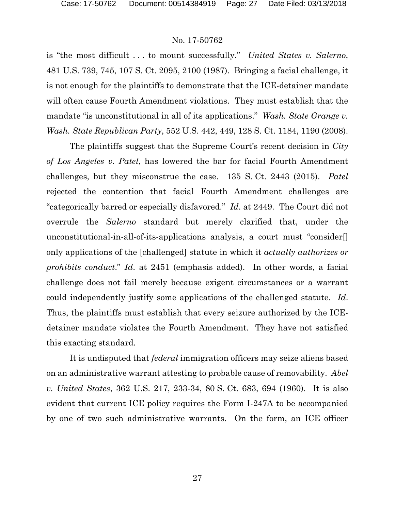is "the most difficult . . . to mount successfully." *United States v. Salerno*, 481 U.S. 739, 745, 107 S. Ct. 2095, 2100 (1987). Bringing a facial challenge, it is not enough for the plaintiffs to demonstrate that the ICE-detainer mandate will often cause Fourth Amendment violations. They must establish that the mandate "is unconstitutional in all of its applications." *Wash. State Grange v. Wash. State Republican Party*, 552 U.S. 442, 449, 128 S. Ct. 1184, 1190 (2008).

The plaintiffs suggest that the Supreme Court's recent decision in *City of Los Angeles v. Patel*, has lowered the bar for facial Fourth Amendment challenges, but they misconstrue the case. 135 S. Ct. 2443 (2015). *Patel* rejected the contention that facial Fourth Amendment challenges are "categorically barred or especially disfavored." *Id*. at 2449. The Court did not overrule the *Salerno* standard but merely clarified that, under the unconstitutional-in-all-of-its-applications analysis, a court must "consider[] only applications of the [challenged] statute in which it *actually authorizes or prohibits conduct*." *Id*. at 2451 (emphasis added). In other words, a facial challenge does not fail merely because exigent circumstances or a warrant could independently justify some applications of the challenged statute. *Id*. Thus, the plaintiffs must establish that every seizure authorized by the ICEdetainer mandate violates the Fourth Amendment. They have not satisfied this exacting standard.

It is undisputed that *federal* immigration officers may seize aliens based on an administrative warrant attesting to probable cause of removability. *Abel v. United States*, 362 U.S. 217, 233-34, 80 S. Ct. 683, 694 (1960). It is also evident that current ICE policy requires the Form I-247A to be accompanied by one of two such administrative warrants. On the form, an ICE officer

27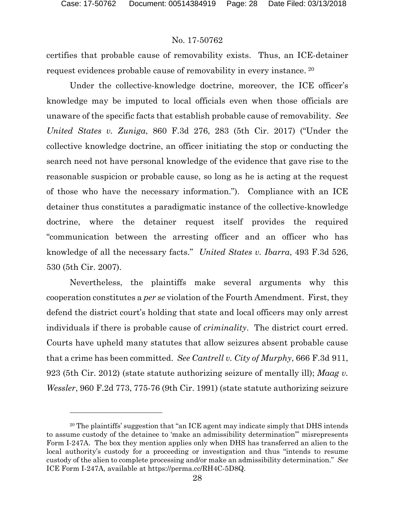#### No. 17-50762

certifies that probable cause of removability exists. Thus, an ICE-detainer request evidences probable cause of removability in every instance. [20](#page-27-0)

Under the collective-knowledge doctrine, moreover, the ICE officer's knowledge may be imputed to local officials even when those officials are unaware of the specific facts that establish probable cause of removability. *See United States v. Zuniga*, 860 F.3d 276, 283 (5th Cir. 2017) ("Under the collective knowledge doctrine, an officer initiating the stop or conducting the search need not have personal knowledge of the evidence that gave rise to the reasonable suspicion or probable cause, so long as he is acting at the request of those who have the necessary information."). Compliance with an ICE detainer thus constitutes a paradigmatic instance of the collective-knowledge doctrine, where the detainer request itself provides the required "communication between the arresting officer and an officer who has knowledge of all the necessary facts." *United States v. Ibarra*, 493 F.3d 526, 530 (5th Cir. 2007).

Nevertheless, the plaintiffs make several arguments why this cooperation constitutes a *per se* violation of the Fourth Amendment. First, they defend the district court's holding that state and local officers may only arrest individuals if there is probable cause of *criminality*. The district court erred. Courts have upheld many statutes that allow seizures absent probable cause that a crime has been committed. *See Cantrell v. City of Murphy*, 666 F.3d 911, 923 (5th Cir. 2012) (state statute authorizing seizure of mentally ill); *Maag v. Wessler*, 960 F.2d 773, 775-76 (9th Cir. 1991) (state statute authorizing seizure

<span id="page-27-0"></span><sup>20</sup> The plaintiffs' suggestion that "an ICE agent may indicate simply that DHS intends to assume custody of the detainee to 'make an admissibility determination'" misrepresents Form I-247A. The box they mention applies only when DHS has transferred an alien to the local authority's custody for a proceeding or investigation and thus "intends to resume custody of the alien to complete processing and/or make an admissibility determination." *See* ICE Form I-247A, available at https://perma.cc/RH4C-5D8Q.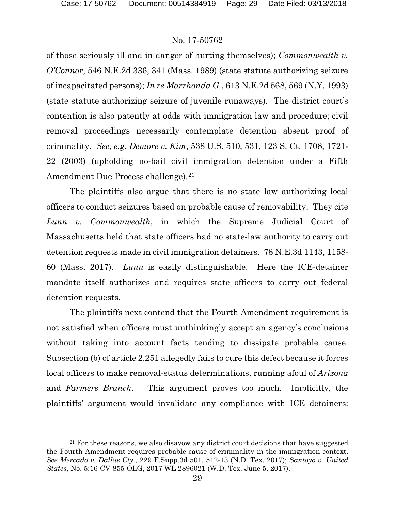#### No. 17-50762

of those seriously ill and in danger of hurting themselves); *Commonwealth v. O'Connor*, 546 N.E.2d 336, 341 (Mass. 1989) (state statute authorizing seizure of incapacitated persons); *In re Marrhonda G.*, 613 N.E.2d 568, 569 (N.Y. 1993) (state statute authorizing seizure of juvenile runaways). The district court's contention is also patently at odds with immigration law and procedure; civil removal proceedings necessarily contemplate detention absent proof of criminality. *See, e.g*, *Demore v. Kim*, 538 U.S. 510, 531, 123 S. Ct. 1708, 1721- 22 (2003) (upholding no-bail civil immigration detention under a Fifth Amendment Due Process challenge).<sup>[21](#page-28-0)</sup>

The plaintiffs also argue that there is no state law authorizing local officers to conduct seizures based on probable cause of removability. They cite *Lunn v. Commonwealth*, in which the Supreme Judicial Court of Massachusetts held that state officers had no state-law authority to carry out detention requests made in civil immigration detainers. 78 N.E.3d 1143, 1158- 60 (Mass. 2017). *Lunn* is easily distinguishable. Here the ICE-detainer mandate itself authorizes and requires state officers to carry out federal detention requests.

The plaintiffs next contend that the Fourth Amendment requirement is not satisfied when officers must unthinkingly accept an agency's conclusions without taking into account facts tending to dissipate probable cause. Subsection (b) of article 2.251 allegedly fails to cure this defect because it forces local officers to make removal-status determinations, running afoul of *Arizona* and *Farmers Branch*. This argument proves too much. Implicitly, the plaintiffs' argument would invalidate any compliance with ICE detainers:

<span id="page-28-0"></span><sup>&</sup>lt;sup>21</sup> For these reasons, we also disavow any district court decisions that have suggested the Fourth Amendment requires probable cause of criminality in the immigration context. *See Mercado v. Dallas Cty.*, 229 F.Supp.3d 501, 512-13 (N.D. Tex. 2017); *Santoyo v. United States*, No. 5:16-CV-855-OLG, 2017 WL 2896021 (W.D. Tex. June 5, 2017).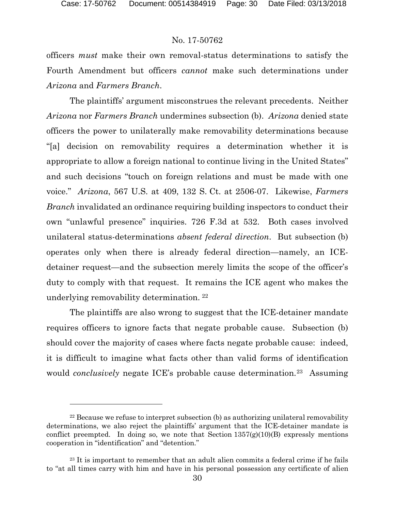#### No. 17-50762

officers *must* make their own removal-status determinations to satisfy the Fourth Amendment but officers *cannot* make such determinations under *Arizona* and *Farmers Branch*.

The plaintiffs' argument misconstrues the relevant precedents. Neither *Arizona* nor *Farmers Branch* undermines subsection (b). *Arizona* denied state officers the power to unilaterally make removability determinations because "[a] decision on removability requires a determination whether it is appropriate to allow a foreign national to continue living in the United States" and such decisions "touch on foreign relations and must be made with one voice." *Arizona*, 567 U.S. at 409, 132 S. Ct. at 2506-07. Likewise, *Farmers Branch* invalidated an ordinance requiring building inspectors to conduct their own "unlawful presence" inquiries. 726 F.3d at 532. Both cases involved unilateral status-determinations *absent federal direction*. But subsection (b) operates only when there is already federal direction—namely, an ICEdetainer request—and the subsection merely limits the scope of the officer's duty to comply with that request. It remains the ICE agent who makes the underlying removability determination. [22](#page-29-0)

The plaintiffs are also wrong to suggest that the ICE-detainer mandate requires officers to ignore facts that negate probable cause. Subsection (b) should cover the majority of cases where facts negate probable cause: indeed, it is difficult to imagine what facts other than valid forms of identification would *conclusively* negate ICE's probable cause determination.[23](#page-29-1) Assuming

<span id="page-29-0"></span> $22$  Because we refuse to interpret subsection (b) as authorizing unilateral removability determinations, we also reject the plaintiffs' argument that the ICE-detainer mandate is conflict preempted. In doing so, we note that Section  $1357(g)(10)(B)$  expressly mentions cooperation in "identification" and "detention."

<span id="page-29-1"></span><sup>&</sup>lt;sup>23</sup> It is important to remember that an adult alien commits a federal crime if he fails to "at all times carry with him and have in his personal possession any certificate of alien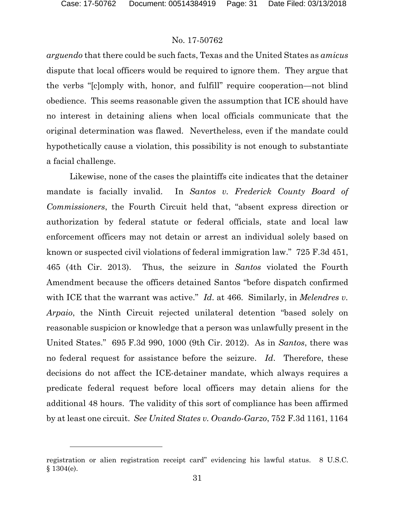l

# No. 17-50762

*arguendo* that there could be such facts, Texas and the United States as *amicus*  dispute that local officers would be required to ignore them. They argue that the verbs "[c]omply with, honor, and fulfill" require cooperation—not blind obedience. This seems reasonable given the assumption that ICE should have no interest in detaining aliens when local officials communicate that the original determination was flawed. Nevertheless, even if the mandate could hypothetically cause a violation, this possibility is not enough to substantiate a facial challenge.

Likewise, none of the cases the plaintiffs cite indicates that the detainer mandate is facially invalid. In *Santos v. Frederick County Board of Commissioners*, the Fourth Circuit held that, "absent express direction or authorization by federal statute or federal officials, state and local law enforcement officers may not detain or arrest an individual solely based on known or suspected civil violations of federal immigration law." 725 F.3d 451, 465 (4th Cir. 2013). Thus, the seizure in *Santos* violated the Fourth Amendment because the officers detained Santos "before dispatch confirmed with ICE that the warrant was active." *Id.* at 466. Similarly, in *Melendres v. Arpaio*, the Ninth Circuit rejected unilateral detention "based solely on reasonable suspicion or knowledge that a person was unlawfully present in the United States." 695 F.3d 990, 1000 (9th Cir. 2012). As in *Santos*, there was no federal request for assistance before the seizure. *Id*. Therefore, these decisions do not affect the ICE-detainer mandate, which always requires a predicate federal request before local officers may detain aliens for the additional 48 hours. The validity of this sort of compliance has been affirmed by at least one circuit. *See United States v. Ovando-Garzo*, 752 F.3d 1161, 1164

registration or alien registration receipt card" evidencing his lawful status. 8 U.S.C. § 1304(e).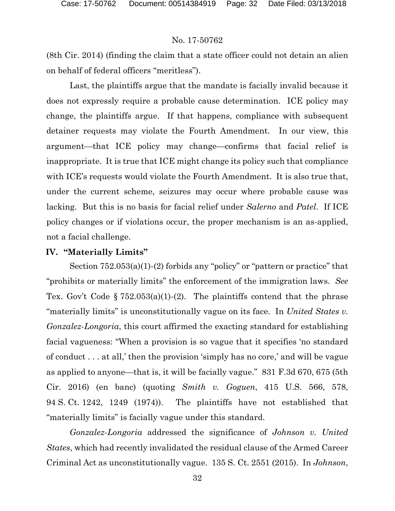(8th Cir. 2014) (finding the claim that a state officer could not detain an alien on behalf of federal officers "meritless").

Last, the plaintiffs argue that the mandate is facially invalid because it does not expressly require a probable cause determination. ICE policy may change, the plaintiffs argue. If that happens, compliance with subsequent detainer requests may violate the Fourth Amendment. In our view, this argument—that ICE policy may change—confirms that facial relief is inappropriate. It is true that ICE might change its policy such that compliance with ICE's requests would violate the Fourth Amendment. It is also true that, under the current scheme, seizures may occur where probable cause was lacking. But this is no basis for facial relief under *Salerno* and *Patel*. If ICE policy changes or if violations occur, the proper mechanism is an as-applied, not a facial challenge.

#### **IV. "Materially Limits"**

Section 752.053(a)(1)-(2) forbids any "policy" or "pattern or practice" that "prohibits or materially limits" the enforcement of the immigration laws. *See* Tex. Gov't Code §  $752.053(a)(1)-(2)$ . The plaintiffs contend that the phrase "materially limits" is unconstitutionally vague on its face. In *United States v. Gonzalez-Longoria*, this court affirmed the exacting standard for establishing facial vagueness: "When a provision is so vague that it specifies 'no standard of conduct . . . at all,' then the provision 'simply has no core,' and will be vague as applied to anyone—that is, it will be facially vague." 831 F.3d 670, 675 (5th Cir. 2016) (en banc) (quoting *Smith v. Goguen*, 415 U.S. 566, 578, 94 S. Ct. 1242, 1249 (1974)). The plaintiffs have not established that "materially limits" is facially vague under this standard.

*Gonzalez-Longoria* addressed the significance of *Johnson v. United States*, which had recently invalidated the residual clause of the Armed Career Criminal Act as unconstitutionally vague. 135 S. Ct. 2551 (2015). In *Johnson*,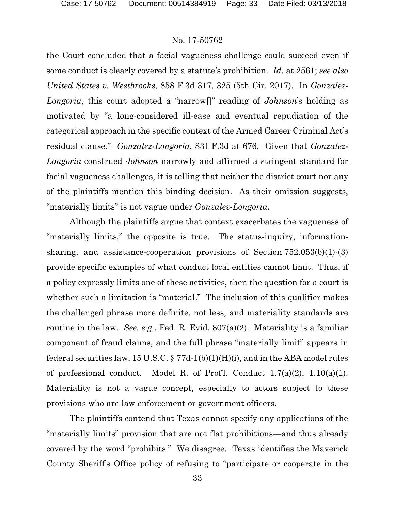the Court concluded that a facial vagueness challenge could succeed even if some conduct is clearly covered by a statute's prohibition. *Id.* at 2561; *see also United States v. Westbrooks*, 858 F.3d 317, 325 (5th Cir. 2017).In *Gonzalez-Longoria*, this court adopted a "narrow[]" reading of *Johnson*'s holding as motivated by "a long-considered ill-ease and eventual repudiation of the categorical approach in the specific context of the Armed Career Criminal Act's residual clause." *Gonzalez-Longoria*, 831 F.3d at 676. Given that *Gonzalez-Longoria* construed *Johnson* narrowly and affirmed a stringent standard for facial vagueness challenges, it is telling that neither the district court nor any of the plaintiffs mention this binding decision. As their omission suggests, "materially limits" is not vague under *Gonzalez-Longoria*.

Although the plaintiffs argue that context exacerbates the vagueness of "materially limits," the opposite is true. The status-inquiry, informationsharing, and assistance-cooperation provisions of Section 752.053(b)(1)-(3) provide specific examples of what conduct local entities cannot limit. Thus, if a policy expressly limits one of these activities, then the question for a court is whether such a limitation is "material." The inclusion of this qualifier makes the challenged phrase more definite, not less, and materiality standards are routine in the law. *See, e.g.*, Fed. R. Evid. 807(a)(2). Materiality is a familiar component of fraud claims, and the full phrase "materially limit" appears in federal securities law, 15 U.S.C.  $\S 77d-1(b)(1)(H)(i)$ , and in the ABA model rules of professional conduct. Model R. of Prof'l. Conduct  $1.7(a)(2)$ ,  $1.10(a)(1)$ . Materiality is not a vague concept, especially to actors subject to these provisions who are law enforcement or government officers.

The plaintiffs contend that Texas cannot specify any applications of the "materially limits" provision that are not flat prohibitions—and thus already covered by the word "prohibits." We disagree. Texas identifies the Maverick County Sheriff's Office policy of refusing to "participate or cooperate in the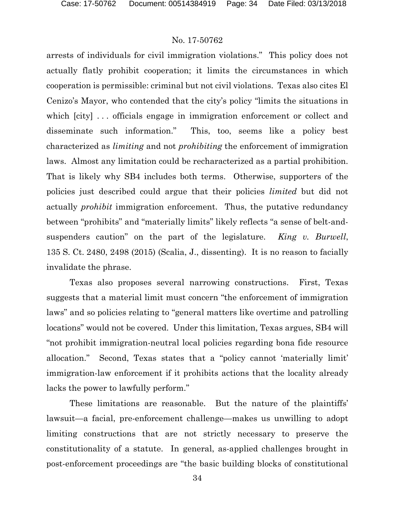arrests of individuals for civil immigration violations." This policy does not actually flatly prohibit cooperation; it limits the circumstances in which cooperation is permissible: criminal but not civil violations. Texas also cites El Cenizo's Mayor, who contended that the city's policy "limits the situations in which  $[city]$ ... officials engage in immigration enforcement or collect and disseminate such information." This, too, seems like a policy best characterized as *limiting* and not *prohibiting* the enforcement of immigration laws. Almost any limitation could be recharacterized as a partial prohibition. That is likely why SB4 includes both terms. Otherwise, supporters of the policies just described could argue that their policies *limited* but did not actually *prohibit* immigration enforcement. Thus, the putative redundancy between "prohibits" and "materially limits" likely reflects "a sense of belt-andsuspenders caution" on the part of the legislature. *King v. Burwell*, 135 S. Ct. 2480, 2498 (2015) (Scalia, J., dissenting). It is no reason to facially invalidate the phrase.

Texas also proposes several narrowing constructions. First, Texas suggests that a material limit must concern "the enforcement of immigration laws" and so policies relating to "general matters like overtime and patrolling locations" would not be covered. Under this limitation, Texas argues, SB4 will "not prohibit immigration-neutral local policies regarding bona fide resource allocation." Second, Texas states that a "policy cannot 'materially limit' immigration-law enforcement if it prohibits actions that the locality already lacks the power to lawfully perform."

These limitations are reasonable. But the nature of the plaintiffs' lawsuit—a facial, pre-enforcement challenge—makes us unwilling to adopt limiting constructions that are not strictly necessary to preserve the constitutionality of a statute. In general, as-applied challenges brought in post-enforcement proceedings are "the basic building blocks of constitutional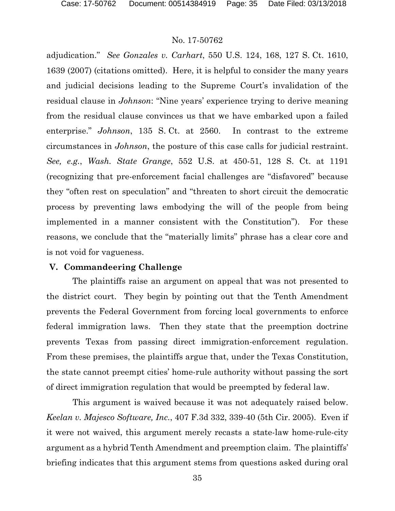adjudication." *See Gonzales v. Carhart*, 550 U.S. 124, 168, 127 S. Ct. 1610, 1639 (2007) (citations omitted). Here, it is helpful to consider the many years and judicial decisions leading to the Supreme Court's invalidation of the residual clause in *Johnson*: "Nine years' experience trying to derive meaning from the residual clause convinces us that we have embarked upon a failed enterprise." *Johnson*, 135 S. Ct. at 2560. In contrast to the extreme circumstances in *Johnson*, the posture of this case calls for judicial restraint. *See, e.g.*, *Wash. State Grange*, 552 U.S. at 450-51, 128 S. Ct. at 1191 (recognizing that pre-enforcement facial challenges are "disfavored" because they "often rest on speculation" and "threaten to short circuit the democratic process by preventing laws embodying the will of the people from being implemented in a manner consistent with the Constitution"). For these reasons, we conclude that the "materially limits" phrase has a clear core and is not void for vagueness.

## **V. Commandeering Challenge**

The plaintiffs raise an argument on appeal that was not presented to the district court. They begin by pointing out that the Tenth Amendment prevents the Federal Government from forcing local governments to enforce federal immigration laws. Then they state that the preemption doctrine prevents Texas from passing direct immigration-enforcement regulation. From these premises, the plaintiffs argue that, under the Texas Constitution, the state cannot preempt cities' home-rule authority without passing the sort of direct immigration regulation that would be preempted by federal law.

This argument is waived because it was not adequately raised below. *Keelan v. Majesco Software, Inc.*, 407 F.3d 332, 339-40 (5th Cir. 2005). Even if it were not waived, this argument merely recasts a state-law home-rule-city argument as a hybrid Tenth Amendment and preemption claim. The plaintiffs' briefing indicates that this argument stems from questions asked during oral